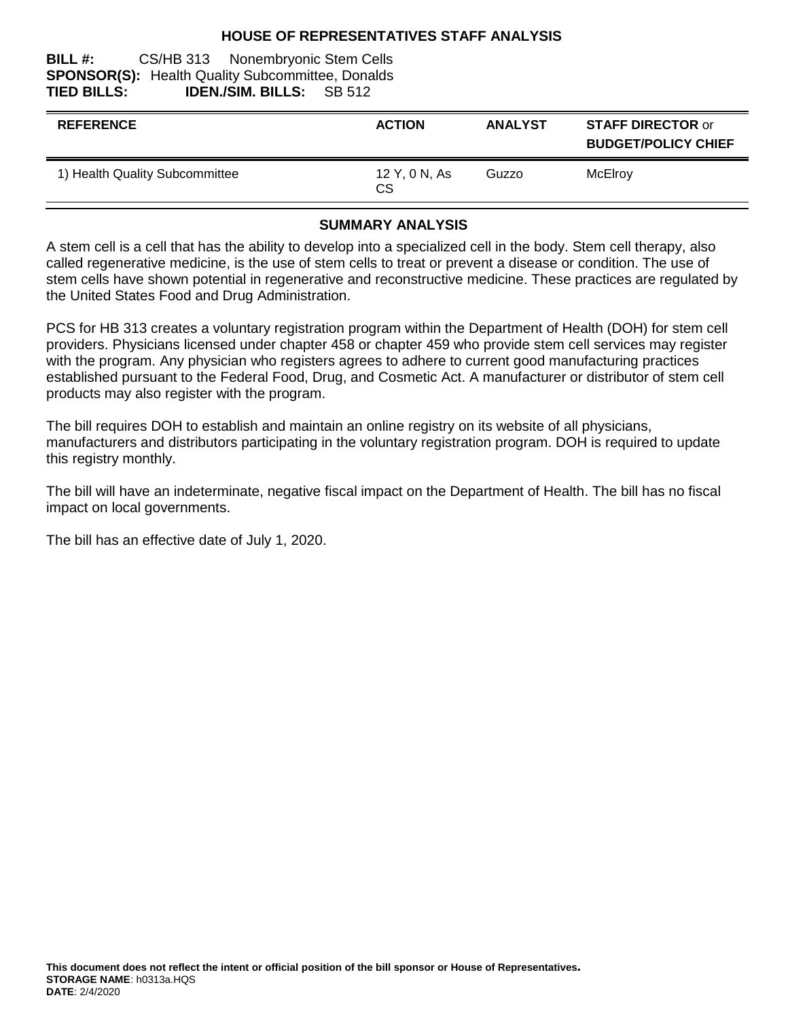#### **HOUSE OF REPRESENTATIVES STAFF ANALYSIS**

#### **BILL #:** CS/HB 313 Nonembryonic Stem Cells **SPONSOR(S):** Health Quality Subcommittee, Donalds **TIED BILLS: IDEN./SIM. BILLS:** SB 512

| <b>REFERENCE</b>               | <b>ACTION</b>       | <b>ANALYST</b> | <b>STAFF DIRECTOR or</b><br><b>BUDGET/POLICY CHIEF</b> |
|--------------------------------|---------------------|----------------|--------------------------------------------------------|
| 1) Health Quality Subcommittee | 12 Y, 0 N, As<br>СS | Guzzo          | McElroy                                                |

#### **SUMMARY ANALYSIS**

A stem cell is a cell that has the ability to develop into a specialized cell in the body. Stem cell therapy, also called regenerative medicine, is the use of stem cells to treat or prevent a disease or condition. The use of stem cells have shown potential in regenerative and reconstructive medicine. These practices are regulated by the United States Food and Drug Administration.

PCS for HB 313 creates a voluntary registration program within the Department of Health (DOH) for stem cell providers. Physicians licensed under chapter 458 or chapter 459 who provide stem cell services may register with the program. Any physician who registers agrees to adhere to current good manufacturing practices established pursuant to the Federal Food, Drug, and Cosmetic Act. A manufacturer or distributor of stem cell products may also register with the program.

The bill requires DOH to establish and maintain an online registry on its website of all physicians, manufacturers and distributors participating in the voluntary registration program. DOH is required to update this registry monthly.

The bill will have an indeterminate, negative fiscal impact on the Department of Health. The bill has no fiscal impact on local governments.

The bill has an effective date of July 1, 2020.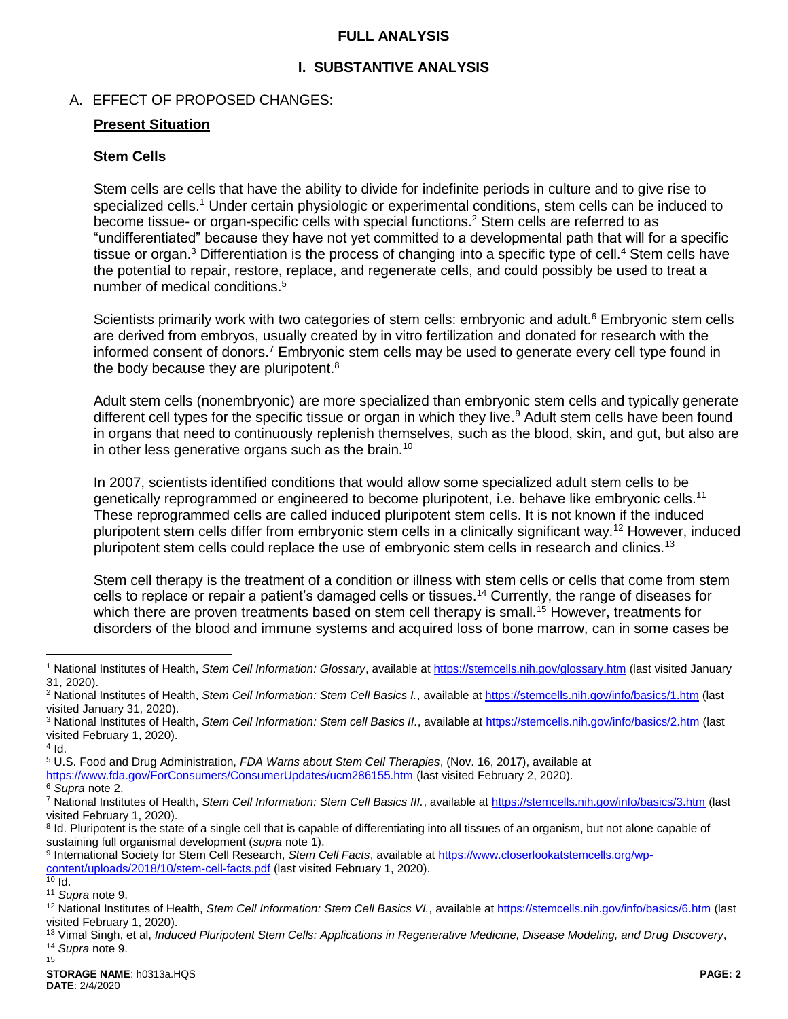### <span id="page-1-0"></span>**FULL ANALYSIS**

## <span id="page-1-2"></span>**I. SUBSTANTIVE ANALYSIS**

## A. EFFECT OF PROPOSED CHANGES:

#### **Present Situation**

#### **Stem Cells**

<span id="page-1-1"></span>Stem cells are cells that have the ability to divide for indefinite periods in culture and to give rise to specialized cells.<sup>1</sup> Under certain physiologic or experimental conditions, stem cells can be induced to become tissue- or organ-specific cells with special functions.<sup>2</sup> Stem cells are referred to as "undifferentiated" because they have not yet committed to a developmental path that will for a specific tissue or organ.<sup>3</sup> Differentiation is the process of changing into a specific type of cell.<sup>4</sup> Stem cells have the potential to repair, restore, replace, and regenerate cells, and could possibly be used to treat a number of medical conditions.<sup>5</sup>

Scientists primarily work with two categories of stem cells: embryonic and adult.<sup>6</sup> Embryonic stem cells are derived from embryos, usually created by in vitro fertilization and donated for research with the informed consent of donors.<sup>7</sup> Embryonic stem cells may be used to generate every cell type found in the body because they are pluripotent.<sup>8</sup>

Adult stem cells (nonembryonic) are more specialized than embryonic stem cells and typically generate different cell types for the specific tissue or organ in which they live.<sup>9</sup> Adult stem cells have been found in organs that need to continuously replenish themselves, such as the blood, skin, and gut, but also are in other less generative organs such as the brain.<sup>10</sup>

In 2007, scientists identified conditions that would allow some specialized adult stem cells to be genetically reprogrammed or engineered to become pluripotent, i.e. behave like embryonic cells.<sup>11</sup> These reprogrammed cells are called induced pluripotent stem cells. It is not known if the induced pluripotent stem cells differ from embryonic stem cells in a clinically significant way.<sup>12</sup> However, induced pluripotent stem cells could replace the use of embryonic stem cells in research and clinics.<sup>13</sup>

Stem cell therapy is the treatment of a condition or illness with stem cells or cells that come from stem cells to replace or repair a patient's damaged cells or tissues.<sup>14</sup> Currently, the range of diseases for which there are proven treatments based on stem cell therapy is small.<sup>15</sup> However, treatments for disorders of the blood and immune systems and acquired loss of bone marrow, can in some cases be

 $\overline{a}$ 

<https://www.fda.gov/ForConsumers/ConsumerUpdates/ucm286155.htm> (last visited February 2, 2020).

<sup>8</sup> Id. Pluripotent is the state of a single cell that is capable of differentiating into all tissues of an organism, but not alone capable of sustaining full organismal development (*supra* not[e 1\)](#page-1-1).

9 International Society for Stem Cell Research, *Stem Cell Facts*, available a[t https://www.closerlookatstemcells.org/wp](https://www.closerlookatstemcells.org/wp-content/uploads/2018/10/stem-cell-facts.pdf)[content/uploads/2018/10/stem-cell-facts.pdf](https://www.closerlookatstemcells.org/wp-content/uploads/2018/10/stem-cell-facts.pdf) (last visited February 1, 2020).

<sup>1</sup> National Institutes of Health, *Stem Cell Information: Glossary*, available at<https://stemcells.nih.gov/glossary.htm> (last visited January 31, 2020).

<sup>2</sup> National Institutes of Health, *Stem Cell Information: Stem Cell Basics I.*, available at<https://stemcells.nih.gov/info/basics/1.htm> (last visited January 31, 2020).

<sup>3</sup> National Institutes of Health, *Stem Cell Information: Stem cell Basics II.*, available a[t https://stemcells.nih.gov/info/basics/2.htm](https://stemcells.nih.gov/info/basics/2.htm) (last visited February 1, 2020).

 $4$  Id.

<sup>5</sup> U.S. Food and Drug Administration, *FDA Warns about Stem Cell Therapies*, (Nov. 16, 2017), available at

<sup>6</sup> *Supra* not[e 2.](#page-1-0)

<sup>7</sup> National Institutes of Health, *Stem Cell Information: Stem Cell Basics III.*, available at<https://stemcells.nih.gov/info/basics/3.htm> (last visited February 1, 2020).

 $\overline{10}$  Id.

<sup>11</sup> *Supra* not[e 9.](#page-1-2)

<sup>12</sup> National Institutes of Health, *Stem Cell Information: Stem Cell Basics VI.*, available at<https://stemcells.nih.gov/info/basics/6.htm> (last visited February 1, 2020).

<sup>13</sup> Vimal Singh, et al, *Induced Pluripotent Stem Cells: Applications in Regenerative Medicine, Disease Modeling, and Drug Discovery*, <sup>14</sup> *Supra* not[e 9.](#page-1-2)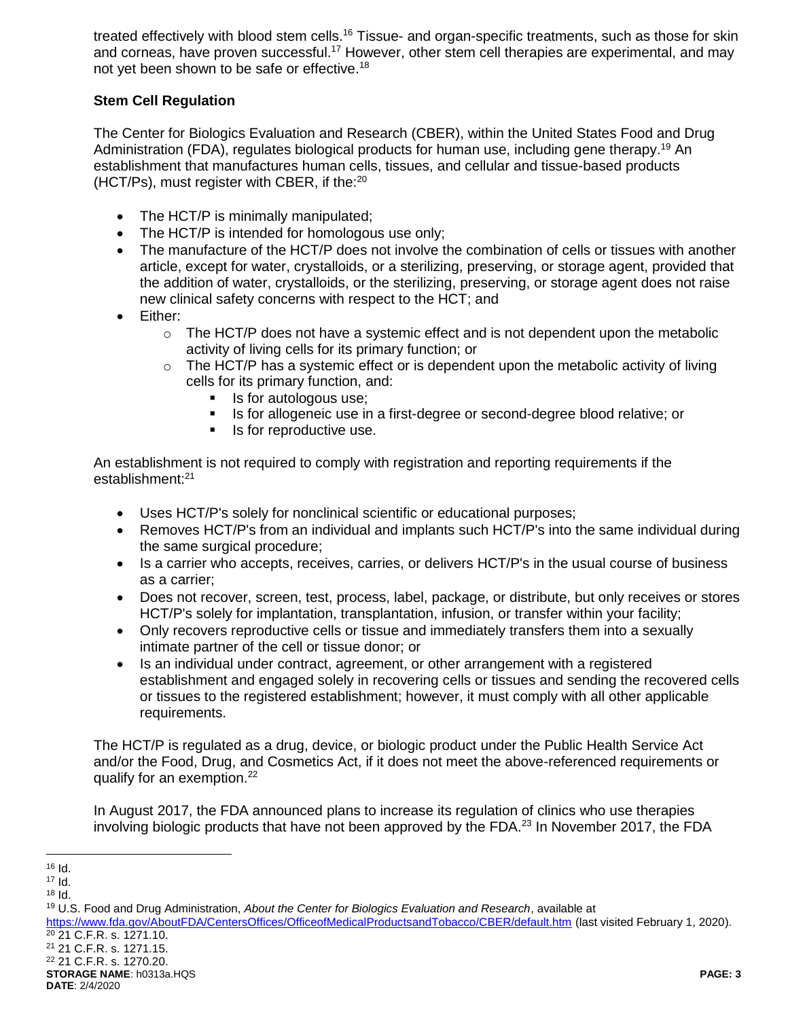treated effectively with blood stem cells.<sup>16</sup> Tissue- and organ-specific treatments, such as those for skin and corneas, have proven successful.<sup>17</sup> However, other stem cell therapies are experimental, and mav not yet been shown to be safe or effective.<sup>18</sup>

## **Stem Cell Regulation**

The Center for Biologics Evaluation and Research (CBER), within the United States Food and Drug Administration (FDA), regulates biological products for human use, including gene therapy.<sup>19</sup> An establishment that manufactures human cells, tissues, and cellular and tissue-based products (HCT/Ps), must register with CBER, if the:<sup>20</sup>

- The HCT/P is minimally manipulated;
- The HCT/P is intended for homologous use only;
- The manufacture of the HCT/P does not involve the combination of cells or tissues with another article, except for water, crystalloids, or a sterilizing, preserving, or storage agent, provided that the addition of water, crystalloids, or the sterilizing, preserving, or storage agent does not raise new clinical safety concerns with respect to the HCT; and
- Either:
	- $\circ$  The HCT/P does not have a systemic effect and is not dependent upon the metabolic activity of living cells for its primary function; or
	- $\circ$  The HCT/P has a systemic effect or is dependent upon the metabolic activity of living cells for its primary function, and:
		- Is for autologous use;<br>Is for allogoneic use in
		- Is for allogeneic use in a first-degree or second-degree blood relative; or
		- Is for reproductive use.

An establishment is not required to comply with registration and reporting requirements if the establishment:<sup>21</sup>

- Uses HCT/P's solely for nonclinical scientific or educational purposes;
- Removes HCT/P's from an individual and implants such HCT/P's into the same individual during the same surgical procedure;
- Is a carrier who accepts, receives, carries, or delivers HCT/P's in the usual course of business as a carrier;
- Does not recover, screen, test, process, label, package, or distribute, but only receives or stores HCT/P's solely for implantation, transplantation, infusion, or transfer within your facility;
- Only recovers reproductive cells or tissue and immediately transfers them into a sexually intimate partner of the cell or tissue donor; or
- Is an individual under contract, agreement, or other arrangement with a registered establishment and engaged solely in recovering cells or tissues and sending the recovered cells or tissues to the registered establishment; however, it must comply with all other applicable requirements.

The HCT/P is regulated as a drug, device, or biologic product under the Public Health Service Act and/or the Food, Drug, and Cosmetics Act, if it does not meet the above-referenced requirements or qualify for an exemption.<sup>22</sup>

In August 2017, the FDA announced plans to increase its regulation of clinics who use therapies involving biologic products that have not been approved by the FDA.<sup>23</sup> In November 2017, the FDA

<sup>21</sup> 21 C.F.R. s. 1271.15.

 $\overline{a}$ <sup>16</sup> Id.

<sup>17</sup> Id.

<sup>18</sup> Id.

<sup>19</sup> U.S. Food and Drug Administration, *About the Center for Biologics Evaluation and Research*, available at <https://www.fda.gov/AboutFDA/CentersOffices/OfficeofMedicalProductsandTobacco/CBER/default.htm> (last visited February 1, 2020). <sup>20</sup> 21 C.F.R. s. 1271.10.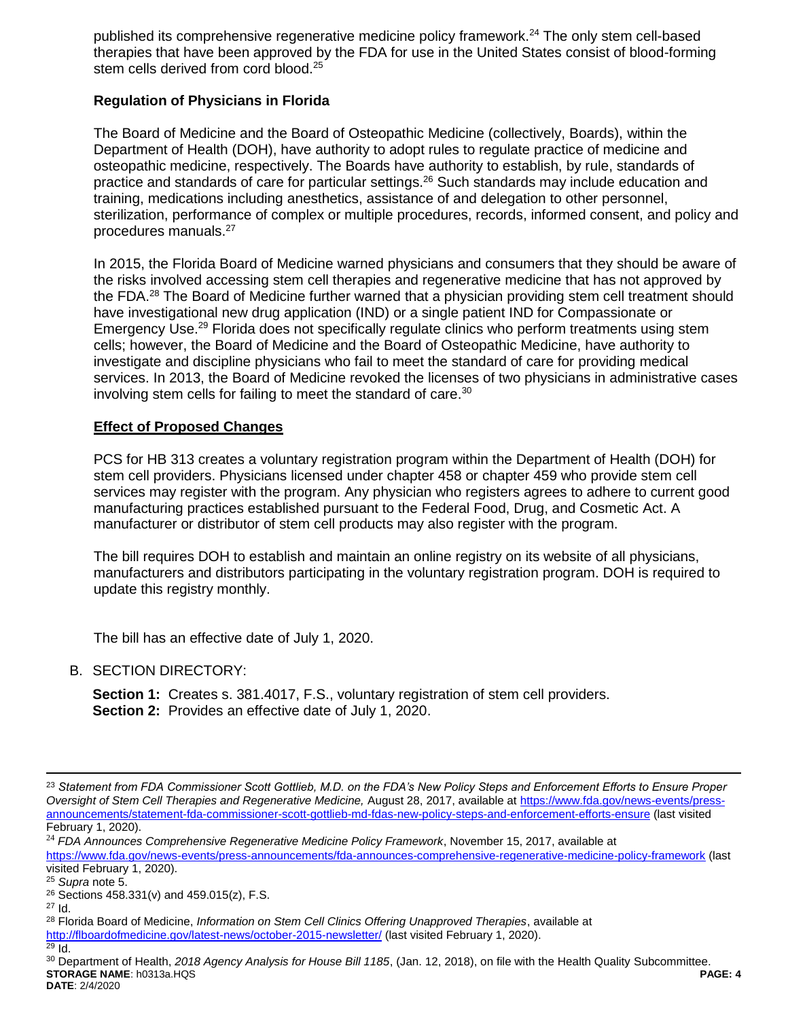published its comprehensive regenerative medicine policy framework.<sup>24</sup> The only stem cell-based therapies that have been approved by the FDA for use in the United States consist of blood-forming stem cells derived from cord blood.<sup>25</sup>

## **Regulation of Physicians in Florida**

The Board of Medicine and the Board of Osteopathic Medicine (collectively, Boards), within the Department of Health (DOH), have authority to adopt rules to regulate practice of medicine and osteopathic medicine, respectively. The Boards have authority to establish, by rule, standards of practice and standards of care for particular settings.<sup>26</sup> Such standards may include education and training, medications including anesthetics, assistance of and delegation to other personnel, sterilization, performance of complex or multiple procedures, records, informed consent, and policy and procedures manuals.<sup>27</sup>

In 2015, the Florida Board of Medicine warned physicians and consumers that they should be aware of the risks involved accessing stem cell therapies and regenerative medicine that has not approved by the FDA.<sup>28</sup> The Board of Medicine further warned that a physician providing stem cell treatment should have investigational new drug application (IND) or a single patient IND for Compassionate or Emergency Use.<sup>29</sup> Florida does not specifically regulate clinics who perform treatments using stem cells; however, the Board of Medicine and the Board of Osteopathic Medicine, have authority to investigate and discipline physicians who fail to meet the standard of care for providing medical services. In 2013, the Board of Medicine revoked the licenses of two physicians in administrative cases involving stem cells for failing to meet the standard of care.<sup>30</sup>

## **Effect of Proposed Changes**

PCS for HB 313 creates a voluntary registration program within the Department of Health (DOH) for stem cell providers. Physicians licensed under chapter 458 or chapter 459 who provide stem cell services may register with the program. Any physician who registers agrees to adhere to current good manufacturing practices established pursuant to the Federal Food, Drug, and Cosmetic Act. A manufacturer or distributor of stem cell products may also register with the program.

The bill requires DOH to establish and maintain an online registry on its website of all physicians, manufacturers and distributors participating in the voluntary registration program. DOH is required to update this registry monthly.

The bill has an effective date of July 1, 2020.

B. SECTION DIRECTORY:

**Section 1:** Creates s. 381.4017, F.S., voluntary registration of stem cell providers. **Section 2:** Provides an effective date of July 1, 2020.

 $\overline{a}$ 

<sup>23</sup> *Statement from FDA Commissioner Scott Gottlieb, M.D. on the FDA's New Policy Steps and Enforcement Efforts to Ensure Proper Oversight of Stem Cell Therapies and Regenerative Medicine,* August 28, 2017, available at [https://www.fda.gov/news-events/press](https://www.fda.gov/news-events/press-announcements/statement-fda-commissioner-scott-gottlieb-md-fdas-new-policy-steps-and-enforcement-efforts-ensure)[announcements/statement-fda-commissioner-scott-gottlieb-md-fdas-new-policy-steps-and-enforcement-efforts-ensure](https://www.fda.gov/news-events/press-announcements/statement-fda-commissioner-scott-gottlieb-md-fdas-new-policy-steps-and-enforcement-efforts-ensure) (last visited February 1, 2020).

<sup>24</sup> *FDA Announces Comprehensive Regenerative Medicine Policy Framework*, November 15, 2017, available at <https://www.fda.gov/news-events/press-announcements/fda-announces-comprehensive-regenerative-medicine-policy-framework> (last visited February 1, 2020).

<sup>25</sup> *Supra* note 5.  $26$  Sections 458.331(v) and 459.015(z), F.S.

<sup>27</sup> Id.

<sup>28</sup> Florida Board of Medicine, *Information on Stem Cell Clinics Offering Unapproved Therapies*, available at

<http://flboardofmedicine.gov/latest-news/october-2015-newsletter/> (last visited February 1, 2020).

 $29$  Id.

**STORAGE NAME**: h0313a.HQS **PAGE: 4 DATE**: 2/4/2020 <sup>30</sup> Department of Health, *2018 Agency Analysis for House Bill 1185*, (Jan. 12, 2018), on file with the Health Quality Subcommittee.